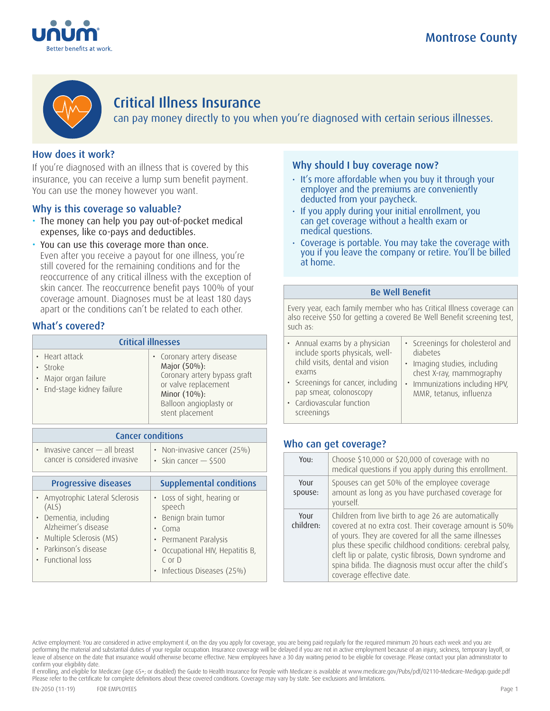



# Critical Illness Insurance

can pay money directly to you when you're diagnosed with certain serious illnesses.

## How does it work?

If you're diagnosed with an illness that is covered by this insurance, you can receive a lump sum benefit payment. You can use the money however you want.

### Why is this coverage so valuable?

- The money can help you pay out-of-pocket medical expenses, like co-pays and deductibles.
- You can use this coverage more than once. Even after you receive a payout for one illness, you're still covered for the remaining conditions and for the reoccurrence of any critical illness with the exception of skin cancer. The reoccurrence benefit pays 100% of your coverage amount. Diagnoses must be at least 180 days apart or the conditions can't be related to each other.

### What's covered?

| <b>Critical illnesses</b>                                                         |                                                                                                                                                                |  |
|-----------------------------------------------------------------------------------|----------------------------------------------------------------------------------------------------------------------------------------------------------------|--|
| • Heart attack<br>· Stroke<br>• Major organ failure<br>· End-stage kidney failure | • Coronary artery disease<br>Major (50%):<br>Coronary artery bypass graft<br>or valve replacement<br>Minor (10%):<br>Balloon angioplasty or<br>stent placement |  |

| <b>Cancer conditions</b>        |                                |  |
|---------------------------------|--------------------------------|--|
| • Invasive cancer - all breast  | • Non-invasive cancer (25%)    |  |
| cancer is considered invasive   | • Skin cancer $-$ \$500        |  |
| <b>Progressive diseases</b>     | <b>Supplemental conditions</b> |  |
| • Amyotrophic Lateral Sclerosis | Loss of sight, hearing or      |  |
| (ALS)                           | $\bullet$                      |  |
| Dementia, including             | speech                         |  |
| $\bullet$                       | Benign brain tumor             |  |
| Alzheimer's disease             | Coma                           |  |
| • Multiple Sclerosis (MS)       | Permanent Paralysis            |  |
| Parkinson's disease             | Occupational HIV, Hepatitis B, |  |
| $\bullet$                       | $C$ or $D$                     |  |
| • Eunctional loss               | Infectious Diseases (25%)      |  |

### Why should I buy coverage now?

- It's more affordable when you buy it through your employer and the premiums are conveniently deducted from your paycheck.
- If you apply during your initial enrollment, you can get coverage without a health exam or medical questions.
- Coverage is portable. You may take the coverage with you if you leave the company or retire. You'll be billed at home.

#### Be Well Benefit

Every year, each family member who has Critical Illness coverage can also receive \$50 for getting a covered Be Well Benefit screening test, such as:

| • Annual exams by a physician                                                                           | • Screenings for cholesterol and                          |
|---------------------------------------------------------------------------------------------------------|-----------------------------------------------------------|
| include sports physicals, well-                                                                         | diabetes                                                  |
| child visits, dental and vision                                                                         | · Imaging studies, including                              |
| exams                                                                                                   | chest X-ray, mammography                                  |
| • Screenings for cancer, including<br>pap smear, colonoscopy<br>• Cardiovascular function<br>screenings | • Immunizations including HPV,<br>MMR, tetanus, influenza |

### Who can get coverage?

| YOU:              | Choose \$10,000 or \$20,000 of coverage with no<br>medical questions if you apply during this enrollment.                                                                                                                                                                                                                                                                               |
|-------------------|-----------------------------------------------------------------------------------------------------------------------------------------------------------------------------------------------------------------------------------------------------------------------------------------------------------------------------------------------------------------------------------------|
| Your<br>spouse:   | Spouses can get 50% of the employee coverage<br>amount as long as you have purchased coverage for<br>yourself.                                                                                                                                                                                                                                                                          |
| Your<br>children: | Children from live birth to age 26 are automatically<br>covered at no extra cost. Their coverage amount is 50%<br>of yours. They are covered for all the same illnesses<br>plus these specific childhood conditions: cerebral palsy,<br>cleft lip or palate, cystic fibrosis, Down syndrome and<br>spina bifida. The diagnosis must occur after the child's<br>coverage effective date. |

If enrolling, and eligible for Medicare (age 65+; or disabled) the Guide to Health Insurance for People with Medicare is available at www.medicare.gov/Pubs/pdf/02110-Medicare-Medigap.guide.pdf Please refer to the certificate for complete definitions about these covered conditions. Coverage may vary by state. See exclusions and limitations.

Active employment: You are considered in active employment if, on the day you apply for coverage, you are being paid regularly for the required minimum 20 hours each week and you are performing the material and substantial duties of your regular occupation. Insurance coverage will be delayed if you are not in active employment because of an injury, sickness, temporary layoff, or leave of absence on the date that insurance would otherwise become effective. New employees have a 30 day waiting period to be eligible for coverage. Please contact your plan administrator to confirm your eligibility date.